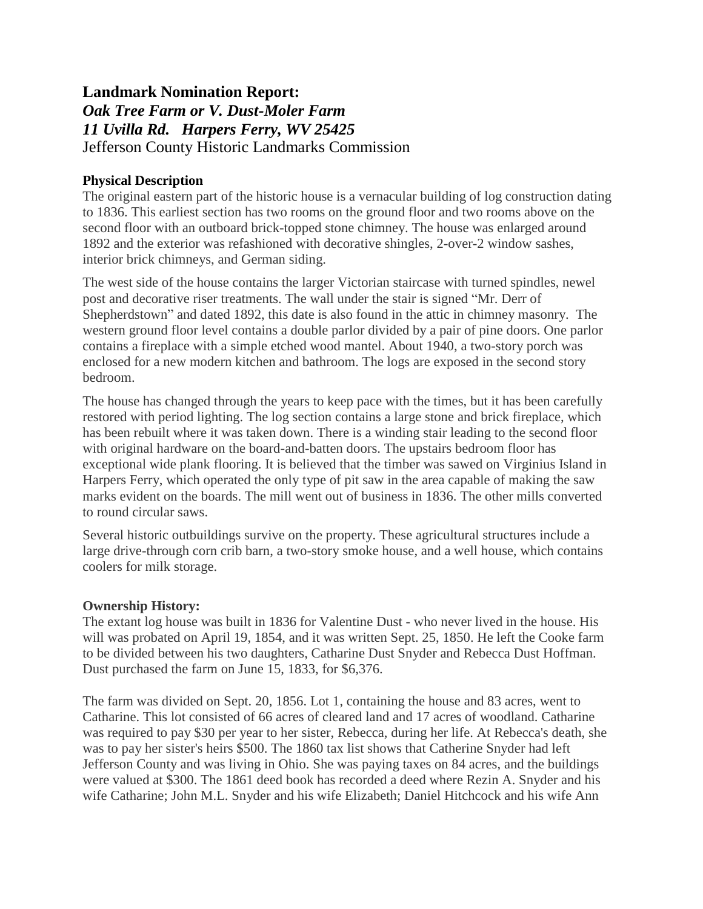# **Landmark Nomination Report:** *Oak Tree Farm or V. Dust-Moler Farm 11 Uvilla Rd. Harpers Ferry, WV 25425* Jefferson County Historic Landmarks Commission

## **Physical Description**

The original eastern part of the historic house is a vernacular building of log construction dating to 1836. This earliest section has two rooms on the ground floor and two rooms above on the second floor with an outboard brick-topped stone chimney. The house was enlarged around 1892 and the exterior was refashioned with decorative shingles, 2-over-2 window sashes, interior brick chimneys, and German siding.

The west side of the house contains the larger Victorian staircase with turned spindles, newel post and decorative riser treatments. The wall under the stair is signed "Mr. Derr of Shepherdstown" and dated 1892, this date is also found in the attic in chimney masonry. The western ground floor level contains a double parlor divided by a pair of pine doors. One parlor contains a fireplace with a simple etched wood mantel. About 1940, a two-story porch was enclosed for a new modern kitchen and bathroom. The logs are exposed in the second story bedroom.

The house has changed through the years to keep pace with the times, but it has been carefully restored with period lighting. The log section contains a large stone and brick fireplace, which has been rebuilt where it was taken down. There is a winding stair leading to the second floor with original hardware on the board-and-batten doors. The upstairs bedroom floor has exceptional wide plank flooring. It is believed that the timber was sawed on Virginius Island in Harpers Ferry, which operated the only type of pit saw in the area capable of making the saw marks evident on the boards. The mill went out of business in 1836. The other mills converted to round circular saws.

Several historic outbuildings survive on the property. These agricultural structures include a large drive-through corn crib barn, a two-story smoke house, and a well house, which contains coolers for milk storage.

### **Ownership History:**

The extant log house was built in 1836 for Valentine Dust - who never lived in the house. His will was probated on April 19, 1854, and it was written Sept. 25, 1850. He left the Cooke farm to be divided between his two daughters, Catharine Dust Snyder and Rebecca Dust Hoffman. Dust purchased the farm on June 15, 1833, for \$6,376.

The farm was divided on Sept. 20, 1856. Lot 1, containing the house and 83 acres, went to Catharine. This lot consisted of 66 acres of cleared land and 17 acres of woodland. Catharine was required to pay \$30 per year to her sister, Rebecca, during her life. At Rebecca's death, she was to pay her sister's heirs \$500. The 1860 tax list shows that Catherine Snyder had left Jefferson County and was living in Ohio. She was paying taxes on 84 acres, and the buildings were valued at \$300. The 1861 deed book has recorded a deed where Rezin A. Snyder and his wife Catharine; John M.L. Snyder and his wife Elizabeth; Daniel Hitchcock and his wife Ann